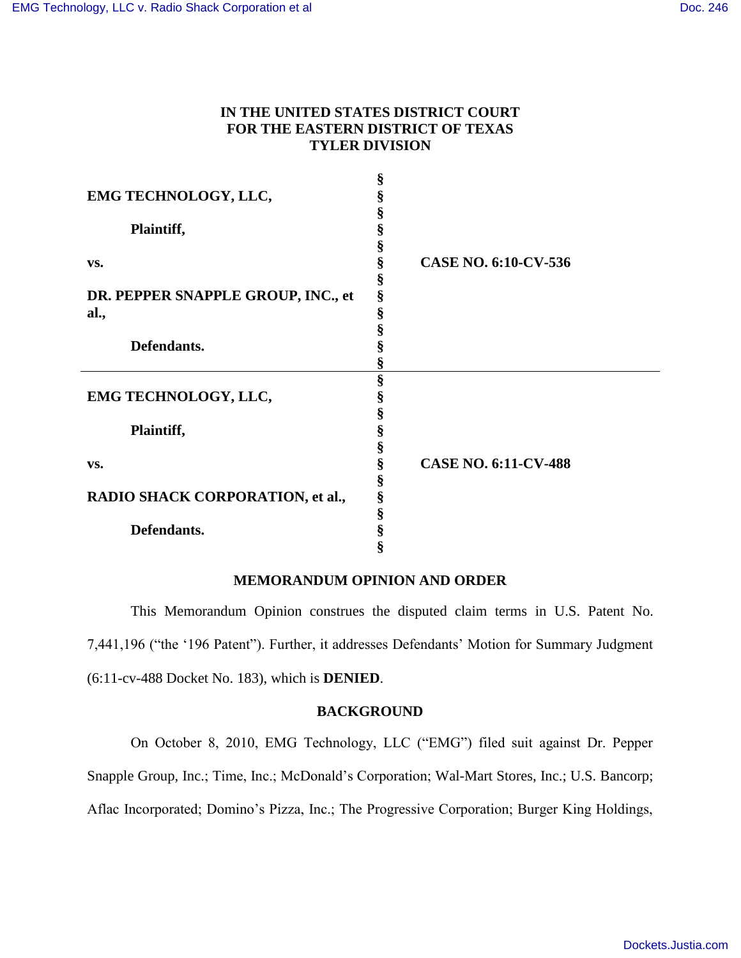# **IN THE UNITED STATES DISTRICT COURT FOR THE EASTERN DISTRICT OF TEXAS TYLER DIVISION**

|                                    | §      |                             |
|------------------------------------|--------|-----------------------------|
| EMG TECHNOLOGY, LLC,               | §      |                             |
|                                    | §      |                             |
| Plaintiff,                         | §      |                             |
|                                    | \$     |                             |
| VS.                                | §      | <b>CASE NO. 6:10-CV-536</b> |
|                                    | §      |                             |
| DR. PEPPER SNAPPLE GROUP, INC., et | §      |                             |
| al.,                               | §      |                             |
|                                    | §      |                             |
| Defendants.                        | §      |                             |
|                                    |        |                             |
|                                    | Š<br>§ |                             |
| EMG TECHNOLOGY, LLC,               |        |                             |
|                                    | \$     |                             |
|                                    | §      |                             |
| Plaintiff,                         | §      |                             |
|                                    | §      |                             |
| VS.                                | §      | <b>CASE NO. 6:11-CV-488</b> |
|                                    | §      |                             |
| RADIO SHACK CORPORATION, et al.,   | §      |                             |
|                                    | §      |                             |
| Defendants.                        | §      |                             |
|                                    |        |                             |

#### **MEMORANDUM OPINION AND ORDER**

This Memorandum Opinion construes the disputed claim terms in U.S. Patent No. 7,441,196 ("the '196 Patent"). Further, it addresses Defendants' Motion for Summary Judgment (6:11-cv-488 Docket No. 183), which is **DENIED**.

## **BACKGROUND**

On October 8, 2010, EMG Technology, LLC ("EMG") filed suit against Dr. Pepper Snapple Group, Inc.; Time, Inc.; McDonald's Corporation; Wal-Mart Stores, Inc.; U.S. Bancorp; Aflac Incorporated; Domino's Pizza, Inc.; The Progressive Corporation; Burger King Holdings,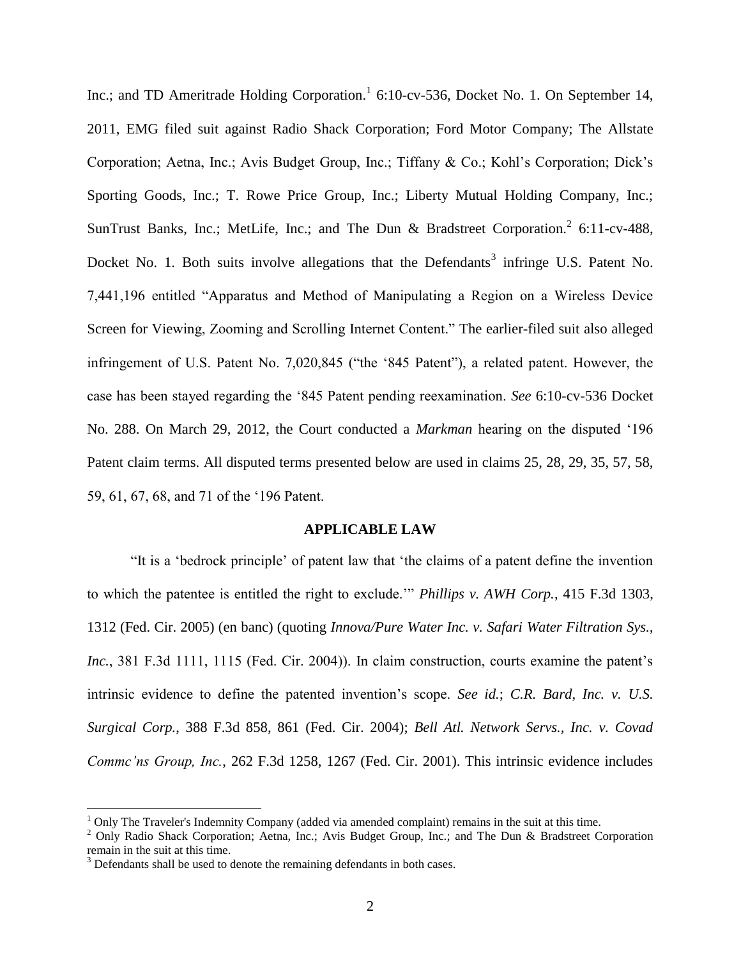Inc.; and TD Ameritrade Holding Corporation.<sup>1</sup> 6:10-cv-536, Docket No. 1. On September 14, 2011, EMG filed suit against Radio Shack Corporation; Ford Motor Company; The Allstate Corporation; Aetna, Inc.; Avis Budget Group, Inc.; Tiffany & Co.; Kohl's Corporation; Dick's Sporting Goods, Inc.; T. Rowe Price Group, Inc.; Liberty Mutual Holding Company, Inc.; SunTrust Banks, Inc.; MetLife, Inc.; and The Dun & Bradstreet Corporation.<sup>2</sup> 6:11-cv-488, Docket No. 1. Both suits involve allegations that the Defendants<sup>3</sup> infringe U.S. Patent No. 7,441,196 entitled "Apparatus and Method of Manipulating a Region on a Wireless Device Screen for Viewing, Zooming and Scrolling Internet Content." The earlier-filed suit also alleged infringement of U.S. Patent No. 7,020,845 ("the '845 Patent"), a related patent. However, the case has been stayed regarding the '845 Patent pending reexamination. *See* 6:10-cv-536 Docket No. 288. On March 29, 2012, the Court conducted a *Markman* hearing on the disputed '196 Patent claim terms. All disputed terms presented below are used in claims 25, 28, 29, 35, 57, 58, 59, 61, 67, 68, and 71 of the '196 Patent.

## **APPLICABLE LAW**

"It is a 'bedrock principle' of patent law that 'the claims of a patent define the invention to which the patentee is entitled the right to exclude.'" *Phillips v. AWH Corp.*, 415 F.3d 1303, 1312 (Fed. Cir. 2005) (en banc) (quoting *Innova/Pure Water Inc. v. Safari Water Filtration Sys., Inc.*, 381 F.3d 1111, 1115 (Fed. Cir. 2004)). In claim construction, courts examine the patent's intrinsic evidence to define the patented invention's scope. *See id.*; *C.R. Bard, Inc. v. U.S. Surgical Corp.*, 388 F.3d 858, 861 (Fed. Cir. 2004); *Bell Atl. Network Servs., Inc. v. Covad Commc'ns Group, Inc.*, 262 F.3d 1258, 1267 (Fed. Cir. 2001). This intrinsic evidence includes

 $\overline{a}$ 

 $1$  Only The Traveler's Indemnity Company (added via amended complaint) remains in the suit at this time.

<sup>&</sup>lt;sup>2</sup> Only Radio Shack Corporation; Aetna, Inc.; Avis Budget Group, Inc.; and The Dun & Bradstreet Corporation remain in the suit at this time.

 $3$  Defendants shall be used to denote the remaining defendants in both cases.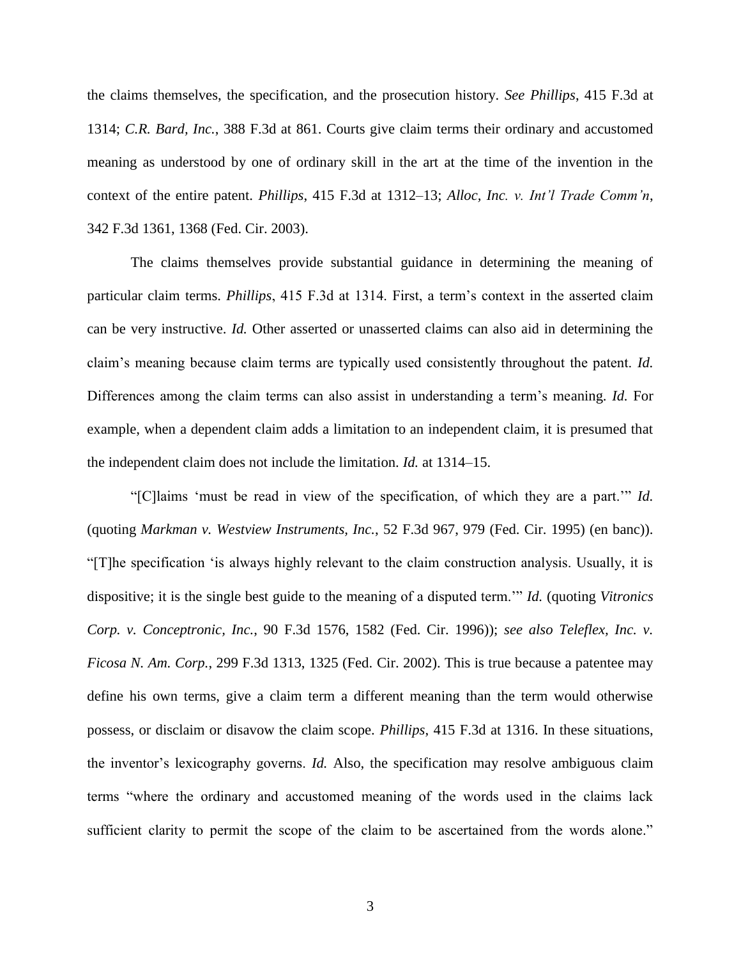the claims themselves, the specification, and the prosecution history. *See Phillips*, 415 F.3d at 1314; *C.R. Bard, Inc.*, 388 F.3d at 861. Courts give claim terms their ordinary and accustomed meaning as understood by one of ordinary skill in the art at the time of the invention in the context of the entire patent. *Phillips*, 415 F.3d at 1312–13; *Alloc, Inc. v. Int'l Trade Comm'n*, 342 F.3d 1361, 1368 (Fed. Cir. 2003).

The claims themselves provide substantial guidance in determining the meaning of particular claim terms. *Phillips*, 415 F.3d at 1314. First, a term's context in the asserted claim can be very instructive. *Id.* Other asserted or unasserted claims can also aid in determining the claim's meaning because claim terms are typically used consistently throughout the patent. *Id.* Differences among the claim terms can also assist in understanding a term's meaning. *Id.* For example, when a dependent claim adds a limitation to an independent claim, it is presumed that the independent claim does not include the limitation. *Id.* at 1314–15.

"[C]laims 'must be read in view of the specification, of which they are a part.'" *Id.* (quoting *Markman v. Westview Instruments, Inc.*, 52 F.3d 967, 979 (Fed. Cir. 1995) (en banc)). "[T]he specification 'is always highly relevant to the claim construction analysis. Usually, it is dispositive; it is the single best guide to the meaning of a disputed term.'" *Id.* (quoting *Vitronics Corp. v. Conceptronic, Inc.*, 90 F.3d 1576, 1582 (Fed. Cir. 1996)); *see also Teleflex, Inc. v. Ficosa N. Am. Corp.*, 299 F.3d 1313, 1325 (Fed. Cir. 2002). This is true because a patentee may define his own terms, give a claim term a different meaning than the term would otherwise possess, or disclaim or disavow the claim scope. *Phillips*, 415 F.3d at 1316. In these situations, the inventor's lexicography governs. *Id.* Also, the specification may resolve ambiguous claim terms "where the ordinary and accustomed meaning of the words used in the claims lack sufficient clarity to permit the scope of the claim to be ascertained from the words alone."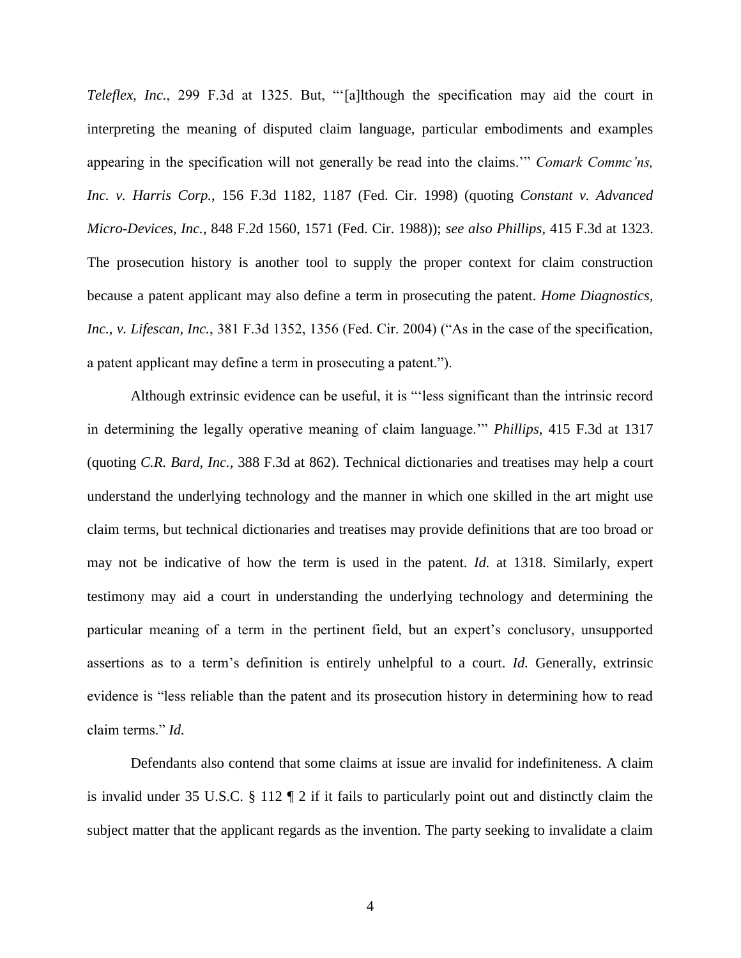*Teleflex, Inc.*, 299 F.3d at 1325. But, "'[a]lthough the specification may aid the court in interpreting the meaning of disputed claim language, particular embodiments and examples appearing in the specification will not generally be read into the claims.'" *Comark Commc'ns, Inc. v. Harris Corp.*, 156 F.3d 1182, 1187 (Fed. Cir. 1998) (quoting *Constant v. Advanced Micro-Devices, Inc.*, 848 F.2d 1560, 1571 (Fed. Cir. 1988)); *see also Phillips*, 415 F.3d at 1323. The prosecution history is another tool to supply the proper context for claim construction because a patent applicant may also define a term in prosecuting the patent. *Home Diagnostics, Inc., v. Lifescan, Inc.*, 381 F.3d 1352, 1356 (Fed. Cir. 2004) ("As in the case of the specification, a patent applicant may define a term in prosecuting a patent.").

Although extrinsic evidence can be useful, it is "'less significant than the intrinsic record in determining the legally operative meaning of claim language.'" *Phillips*, 415 F.3d at 1317 (quoting *C.R. Bard, Inc.*, 388 F.3d at 862). Technical dictionaries and treatises may help a court understand the underlying technology and the manner in which one skilled in the art might use claim terms, but technical dictionaries and treatises may provide definitions that are too broad or may not be indicative of how the term is used in the patent. *Id.* at 1318. Similarly, expert testimony may aid a court in understanding the underlying technology and determining the particular meaning of a term in the pertinent field, but an expert's conclusory, unsupported assertions as to a term's definition is entirely unhelpful to a court. *Id.* Generally, extrinsic evidence is "less reliable than the patent and its prosecution history in determining how to read claim terms." *Id.*

Defendants also contend that some claims at issue are invalid for indefiniteness. A claim is invalid under 35 U.S.C. § 112 ¶ 2 if it fails to particularly point out and distinctly claim the subject matter that the applicant regards as the invention. The party seeking to invalidate a claim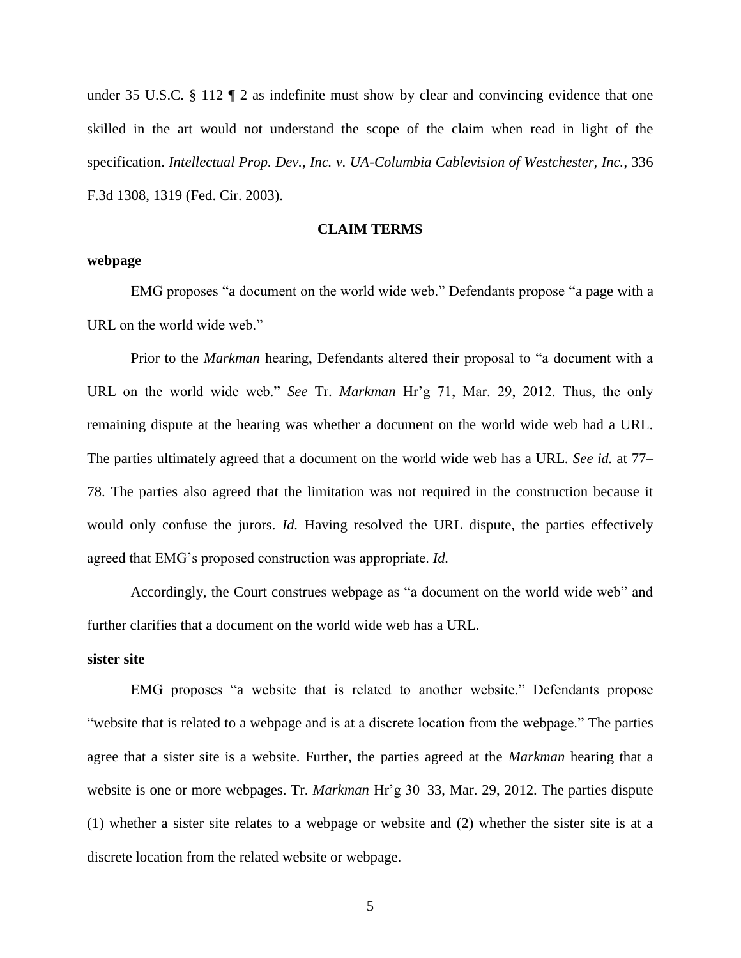under 35 U.S.C. § 112 ¶ 2 as indefinite must show by clear and convincing evidence that one skilled in the art would not understand the scope of the claim when read in light of the specification. *Intellectual Prop. Dev., Inc. v. UA-Columbia Cablevision of Westchester, Inc.*, 336 F.3d 1308, 1319 (Fed. Cir. 2003).

## **CLAIM TERMS**

## **webpage**

EMG proposes "a document on the world wide web." Defendants propose "a page with a URL on the world wide web."

Prior to the *Markman* hearing, Defendants altered their proposal to "a document with a URL on the world wide web." *See* Tr. *Markman* Hr'g 71, Mar. 29, 2012. Thus, the only remaining dispute at the hearing was whether a document on the world wide web had a URL. The parties ultimately agreed that a document on the world wide web has a URL. *See id.* at 77– 78. The parties also agreed that the limitation was not required in the construction because it would only confuse the jurors. *Id.* Having resolved the URL dispute, the parties effectively agreed that EMG's proposed construction was appropriate. *Id.*

Accordingly, the Court construes webpage as "a document on the world wide web" and further clarifies that a document on the world wide web has a URL.

#### **sister site**

EMG proposes "a website that is related to another website." Defendants propose "website that is related to a webpage and is at a discrete location from the webpage." The parties agree that a sister site is a website. Further, the parties agreed at the *Markman* hearing that a website is one or more webpages. Tr. *Markman* Hr'g 30–33, Mar. 29, 2012. The parties dispute (1) whether a sister site relates to a webpage or website and (2) whether the sister site is at a discrete location from the related website or webpage.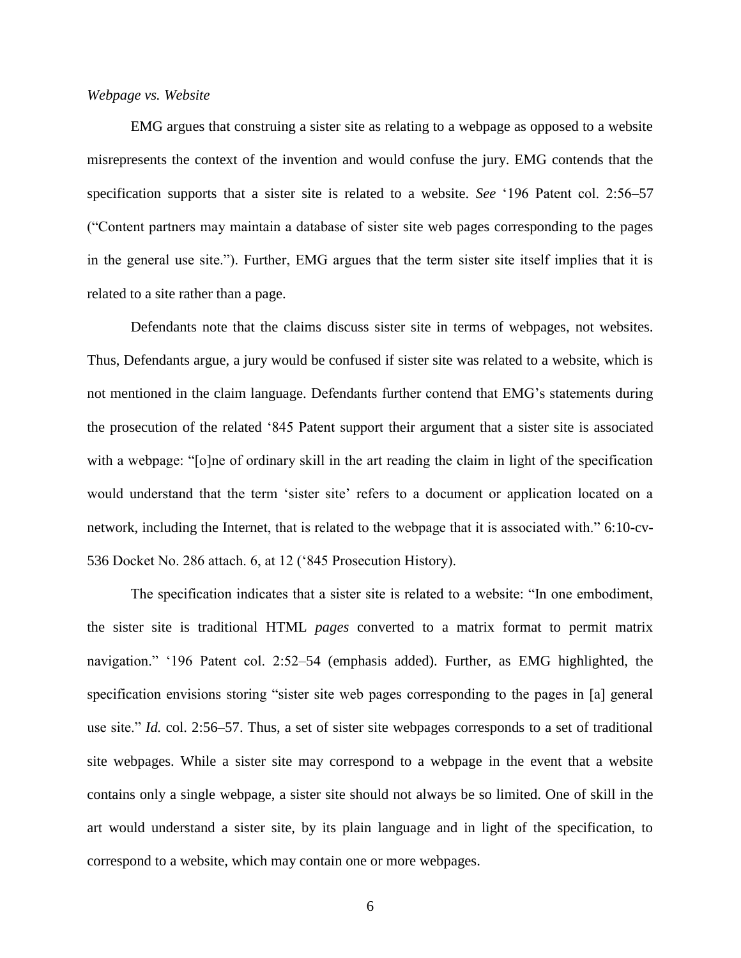## *Webpage vs. Website*

EMG argues that construing a sister site as relating to a webpage as opposed to a website misrepresents the context of the invention and would confuse the jury. EMG contends that the specification supports that a sister site is related to a website. *See* '196 Patent col. 2:56–57 ("Content partners may maintain a database of sister site web pages corresponding to the pages in the general use site."). Further, EMG argues that the term sister site itself implies that it is related to a site rather than a page.

Defendants note that the claims discuss sister site in terms of webpages, not websites. Thus, Defendants argue, a jury would be confused if sister site was related to a website, which is not mentioned in the claim language. Defendants further contend that EMG's statements during the prosecution of the related '845 Patent support their argument that a sister site is associated with a webpage: "[o]ne of ordinary skill in the art reading the claim in light of the specification would understand that the term 'sister site' refers to a document or application located on a network, including the Internet, that is related to the webpage that it is associated with." 6:10-cv-536 Docket No. 286 attach. 6, at 12 ('845 Prosecution History).

The specification indicates that a sister site is related to a website: "In one embodiment, the sister site is traditional HTML *pages* converted to a matrix format to permit matrix navigation." '196 Patent col. 2:52–54 (emphasis added). Further, as EMG highlighted, the specification envisions storing "sister site web pages corresponding to the pages in [a] general use site." *Id.* col. 2:56–57. Thus, a set of sister site webpages corresponds to a set of traditional site webpages. While a sister site may correspond to a webpage in the event that a website contains only a single webpage, a sister site should not always be so limited. One of skill in the art would understand a sister site, by its plain language and in light of the specification, to correspond to a website, which may contain one or more webpages.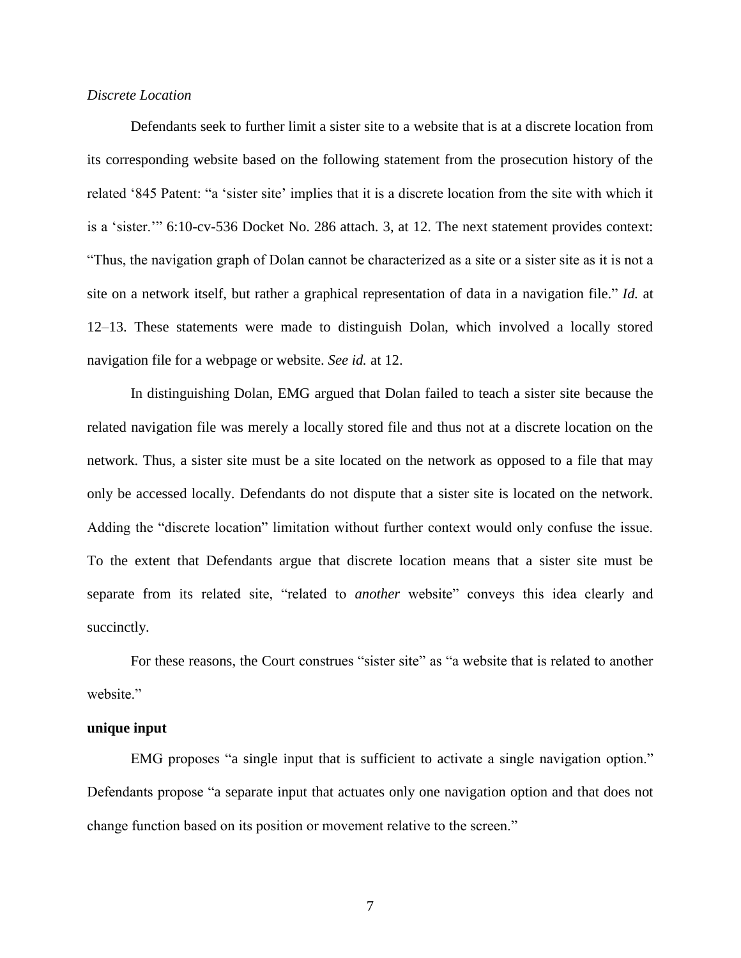## *Discrete Location*

Defendants seek to further limit a sister site to a website that is at a discrete location from its corresponding website based on the following statement from the prosecution history of the related '845 Patent: "a 'sister site' implies that it is a discrete location from the site with which it is a 'sister.'" 6:10-cv-536 Docket No. 286 attach. 3, at 12. The next statement provides context: "Thus, the navigation graph of Dolan cannot be characterized as a site or a sister site as it is not a site on a network itself, but rather a graphical representation of data in a navigation file." *Id.* at 12–13. These statements were made to distinguish Dolan, which involved a locally stored navigation file for a webpage or website. *See id.* at 12.

In distinguishing Dolan, EMG argued that Dolan failed to teach a sister site because the related navigation file was merely a locally stored file and thus not at a discrete location on the network. Thus, a sister site must be a site located on the network as opposed to a file that may only be accessed locally. Defendants do not dispute that a sister site is located on the network. Adding the "discrete location" limitation without further context would only confuse the issue. To the extent that Defendants argue that discrete location means that a sister site must be separate from its related site, "related to *another* website" conveys this idea clearly and succinctly.

For these reasons, the Court construes "sister site" as "a website that is related to another website."

#### **unique input**

EMG proposes "a single input that is sufficient to activate a single navigation option." Defendants propose "a separate input that actuates only one navigation option and that does not change function based on its position or movement relative to the screen."

7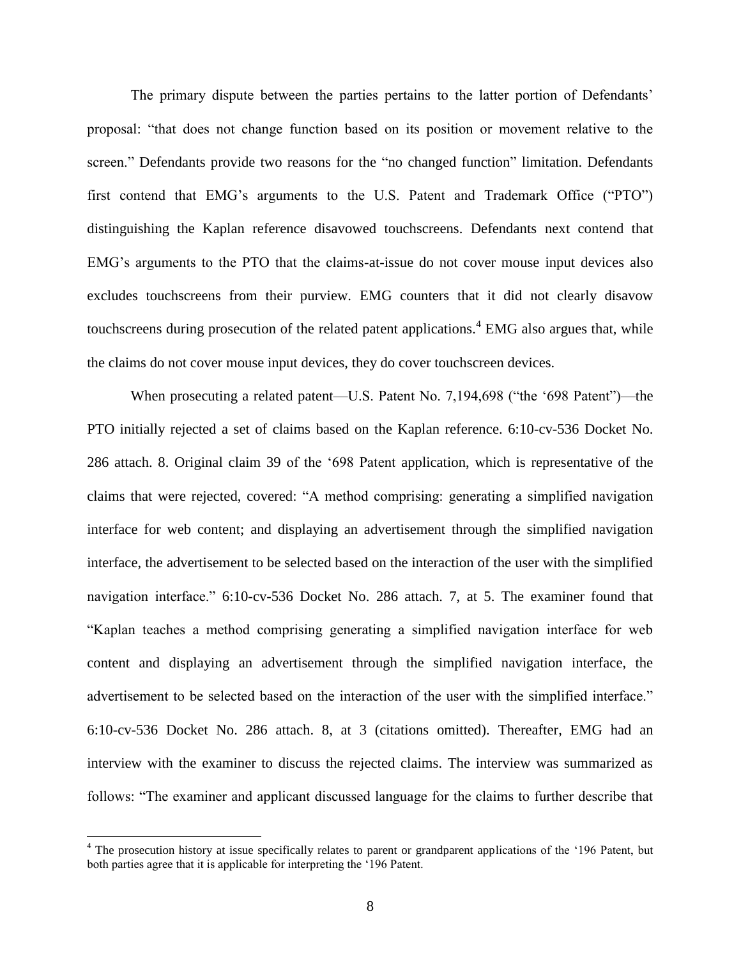The primary dispute between the parties pertains to the latter portion of Defendants' proposal: "that does not change function based on its position or movement relative to the screen." Defendants provide two reasons for the "no changed function" limitation. Defendants first contend that EMG's arguments to the U.S. Patent and Trademark Office ("PTO") distinguishing the Kaplan reference disavowed touchscreens. Defendants next contend that EMG's arguments to the PTO that the claims-at-issue do not cover mouse input devices also excludes touchscreens from their purview. EMG counters that it did not clearly disavow touchscreens during prosecution of the related patent applications.<sup>4</sup> EMG also argues that, while the claims do not cover mouse input devices, they do cover touchscreen devices.

When prosecuting a related patent—U.S. Patent No. 7,194,698 ("the '698 Patent")—the PTO initially rejected a set of claims based on the Kaplan reference. 6:10-cv-536 Docket No. 286 attach. 8. Original claim 39 of the '698 Patent application, which is representative of the claims that were rejected, covered: "A method comprising: generating a simplified navigation interface for web content; and displaying an advertisement through the simplified navigation interface, the advertisement to be selected based on the interaction of the user with the simplified navigation interface." 6:10-cv-536 Docket No. 286 attach. 7, at 5. The examiner found that "Kaplan teaches a method comprising generating a simplified navigation interface for web content and displaying an advertisement through the simplified navigation interface, the advertisement to be selected based on the interaction of the user with the simplified interface." 6:10-cv-536 Docket No. 286 attach. 8, at 3 (citations omitted). Thereafter, EMG had an interview with the examiner to discuss the rejected claims. The interview was summarized as follows: "The examiner and applicant discussed language for the claims to further describe that

 $\overline{a}$ 

<sup>&</sup>lt;sup>4</sup> The prosecution history at issue specifically relates to parent or grandparent applications of the '196 Patent, but both parties agree that it is applicable for interpreting the '196 Patent.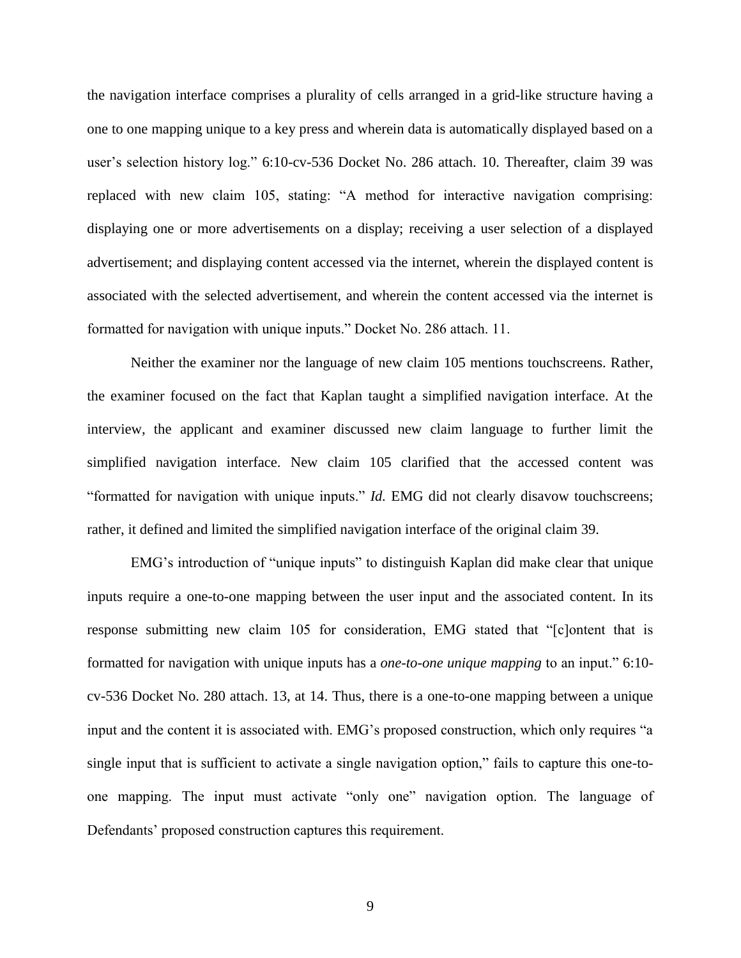the navigation interface comprises a plurality of cells arranged in a grid-like structure having a one to one mapping unique to a key press and wherein data is automatically displayed based on a user's selection history log." 6:10-cv-536 Docket No. 286 attach. 10. Thereafter, claim 39 was replaced with new claim 105, stating: "A method for interactive navigation comprising: displaying one or more advertisements on a display; receiving a user selection of a displayed advertisement; and displaying content accessed via the internet, wherein the displayed content is associated with the selected advertisement, and wherein the content accessed via the internet is formatted for navigation with unique inputs." Docket No. 286 attach. 11.

Neither the examiner nor the language of new claim 105 mentions touchscreens. Rather, the examiner focused on the fact that Kaplan taught a simplified navigation interface. At the interview, the applicant and examiner discussed new claim language to further limit the simplified navigation interface. New claim 105 clarified that the accessed content was "formatted for navigation with unique inputs." *Id.* EMG did not clearly disavow touchscreens; rather, it defined and limited the simplified navigation interface of the original claim 39.

EMG's introduction of "unique inputs" to distinguish Kaplan did make clear that unique inputs require a one-to-one mapping between the user input and the associated content. In its response submitting new claim 105 for consideration, EMG stated that "[c]ontent that is formatted for navigation with unique inputs has a *one-to-one unique mapping* to an input." 6:10 cv-536 Docket No. 280 attach. 13, at 14. Thus, there is a one-to-one mapping between a unique input and the content it is associated with. EMG's proposed construction, which only requires "a single input that is sufficient to activate a single navigation option," fails to capture this one-toone mapping. The input must activate "only one" navigation option. The language of Defendants' proposed construction captures this requirement.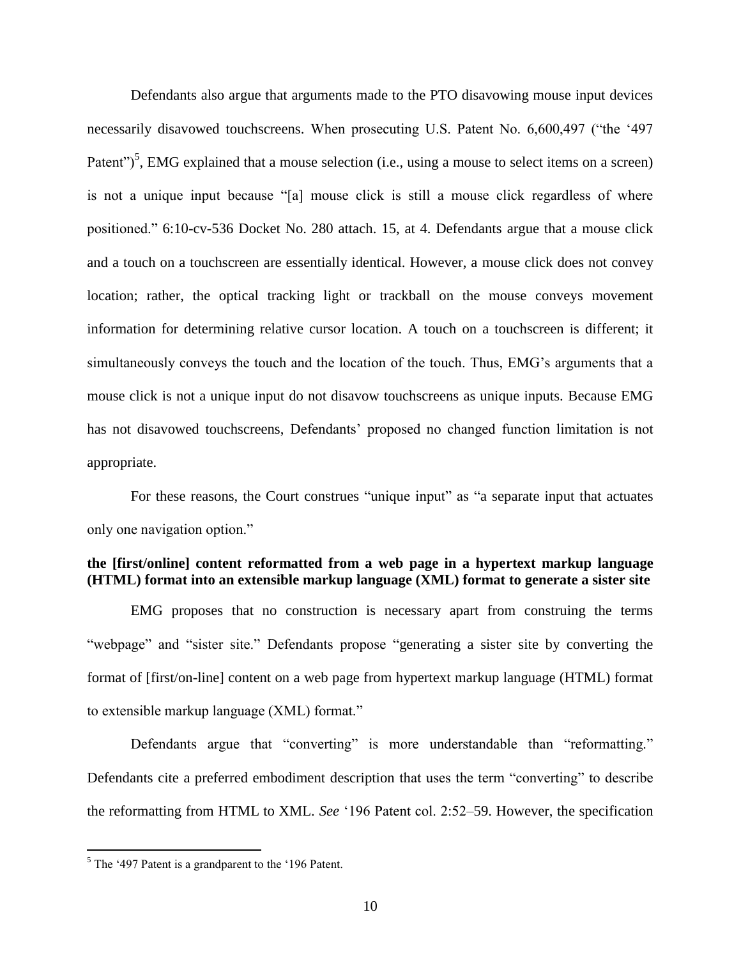Defendants also argue that arguments made to the PTO disavowing mouse input devices necessarily disavowed touchscreens. When prosecuting U.S. Patent No. 6,600,497 ("the '497 Patent")<sup>5</sup>, EMG explained that a mouse selection (i.e., using a mouse to select items on a screen) is not a unique input because "[a] mouse click is still a mouse click regardless of where positioned." 6:10-cv-536 Docket No. 280 attach. 15, at 4. Defendants argue that a mouse click and a touch on a touchscreen are essentially identical. However, a mouse click does not convey location; rather, the optical tracking light or trackball on the mouse conveys movement information for determining relative cursor location. A touch on a touchscreen is different; it simultaneously conveys the touch and the location of the touch. Thus, EMG's arguments that a mouse click is not a unique input do not disavow touchscreens as unique inputs. Because EMG has not disavowed touchscreens, Defendants' proposed no changed function limitation is not appropriate.

For these reasons, the Court construes "unique input" as "a separate input that actuates only one navigation option."

# **the [first/online] content reformatted from a web page in a hypertext markup language (HTML) format into an extensible markup language (XML) format to generate a sister site**

EMG proposes that no construction is necessary apart from construing the terms "webpage" and "sister site." Defendants propose "generating a sister site by converting the format of [first/on-line] content on a web page from hypertext markup language (HTML) format to extensible markup language (XML) format."

Defendants argue that "converting" is more understandable than "reformatting." Defendants cite a preferred embodiment description that uses the term "converting" to describe the reformatting from HTML to XML. *See* '196 Patent col. 2:52–59. However, the specification

 $\overline{a}$ 

 $<sup>5</sup>$  The '497 Patent is a grandparent to the '196 Patent.</sup>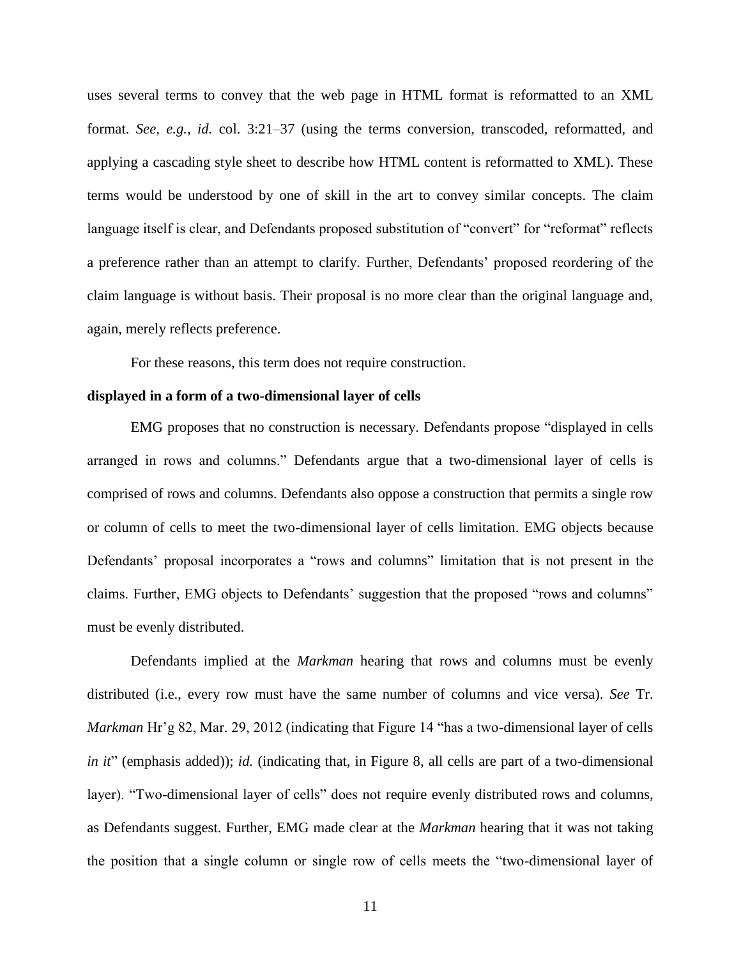uses several terms to convey that the web page in HTML format is reformatted to an XML format. *See, e.g.*, *id.* col. 3:21–37 (using the terms conversion, transcoded, reformatted, and applying a cascading style sheet to describe how HTML content is reformatted to XML). These terms would be understood by one of skill in the art to convey similar concepts. The claim language itself is clear, and Defendants proposed substitution of "convert" for "reformat" reflects a preference rather than an attempt to clarify. Further, Defendants' proposed reordering of the claim language is without basis. Their proposal is no more clear than the original language and, again, merely reflects preference.

For these reasons, this term does not require construction.

#### **displayed in a form of a two-dimensional layer of cells**

EMG proposes that no construction is necessary. Defendants propose "displayed in cells arranged in rows and columns." Defendants argue that a two-dimensional layer of cells is comprised of rows and columns. Defendants also oppose a construction that permits a single row or column of cells to meet the two-dimensional layer of cells limitation. EMG objects because Defendants' proposal incorporates a "rows and columns" limitation that is not present in the claims. Further, EMG objects to Defendants' suggestion that the proposed "rows and columns" must be evenly distributed.

Defendants implied at the *Markman* hearing that rows and columns must be evenly distributed (i.e., every row must have the same number of columns and vice versa). *See* Tr. *Markman* Hr'g 82, Mar. 29, 2012 (indicating that Figure 14 "has a two-dimensional layer of cells *in it*" (emphasis added)); *id.* (indicating that, in Figure 8, all cells are part of a two-dimensional layer). "Two-dimensional layer of cells" does not require evenly distributed rows and columns, as Defendants suggest. Further, EMG made clear at the *Markman* hearing that it was not taking the position that a single column or single row of cells meets the "two-dimensional layer of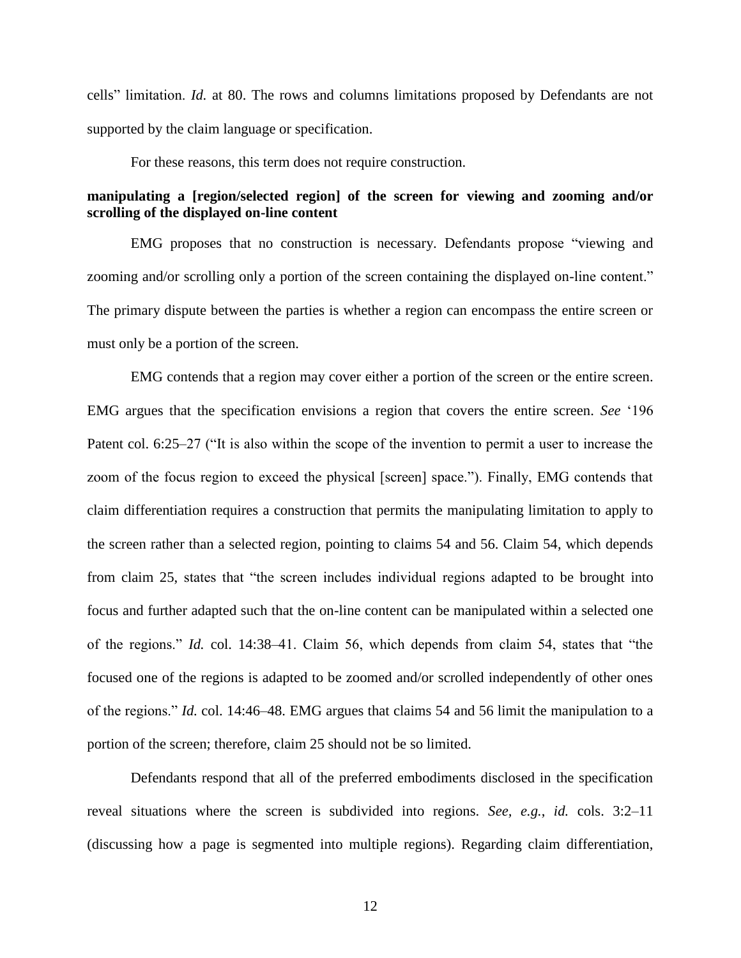cells" limitation. *Id.* at 80. The rows and columns limitations proposed by Defendants are not supported by the claim language or specification.

For these reasons, this term does not require construction.

# **manipulating a [region/selected region] of the screen for viewing and zooming and/or scrolling of the displayed on-line content**

EMG proposes that no construction is necessary. Defendants propose "viewing and zooming and/or scrolling only a portion of the screen containing the displayed on-line content." The primary dispute between the parties is whether a region can encompass the entire screen or must only be a portion of the screen.

EMG contends that a region may cover either a portion of the screen or the entire screen. EMG argues that the specification envisions a region that covers the entire screen. *See* '196 Patent col. 6:25–27 ("It is also within the scope of the invention to permit a user to increase the zoom of the focus region to exceed the physical [screen] space."). Finally, EMG contends that claim differentiation requires a construction that permits the manipulating limitation to apply to the screen rather than a selected region, pointing to claims 54 and 56. Claim 54, which depends from claim 25, states that "the screen includes individual regions adapted to be brought into focus and further adapted such that the on-line content can be manipulated within a selected one of the regions." *Id.* col. 14:38–41. Claim 56, which depends from claim 54, states that "the focused one of the regions is adapted to be zoomed and/or scrolled independently of other ones of the regions." *Id.* col. 14:46–48. EMG argues that claims 54 and 56 limit the manipulation to a portion of the screen; therefore, claim 25 should not be so limited.

Defendants respond that all of the preferred embodiments disclosed in the specification reveal situations where the screen is subdivided into regions. *See, e.g.*, *id.* cols. 3:2–11 (discussing how a page is segmented into multiple regions). Regarding claim differentiation,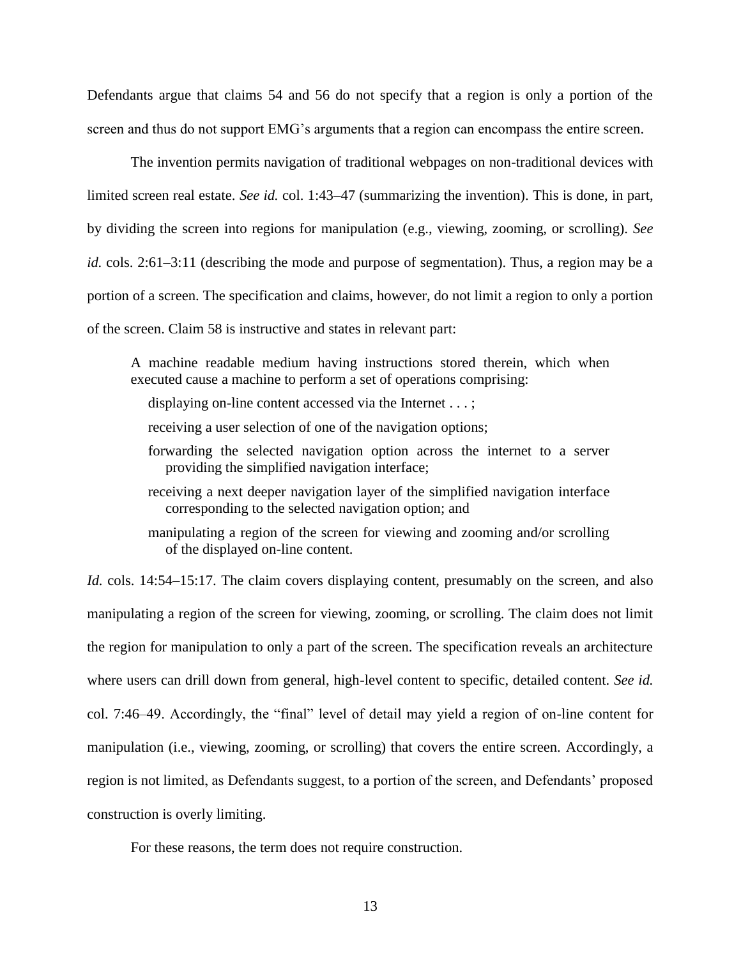Defendants argue that claims 54 and 56 do not specify that a region is only a portion of the screen and thus do not support EMG's arguments that a region can encompass the entire screen.

The invention permits navigation of traditional webpages on non-traditional devices with limited screen real estate. *See id.* col. 1:43–47 (summarizing the invention). This is done, in part, by dividing the screen into regions for manipulation (e.g., viewing, zooming, or scrolling). *See id.* cols. 2:61–3:11 (describing the mode and purpose of segmentation). Thus, a region may be a portion of a screen. The specification and claims, however, do not limit a region to only a portion of the screen. Claim 58 is instructive and states in relevant part:

A machine readable medium having instructions stored therein, which when executed cause a machine to perform a set of operations comprising:

- displaying on-line content accessed via the Internet . . . ;
- receiving a user selection of one of the navigation options;
- forwarding the selected navigation option across the internet to a server providing the simplified navigation interface;
- receiving a next deeper navigation layer of the simplified navigation interface corresponding to the selected navigation option; and
- manipulating a region of the screen for viewing and zooming and/or scrolling of the displayed on-line content.

*Id.* cols. 14:54–15:17. The claim covers displaying content, presumably on the screen, and also manipulating a region of the screen for viewing, zooming, or scrolling. The claim does not limit the region for manipulation to only a part of the screen. The specification reveals an architecture where users can drill down from general, high-level content to specific, detailed content. *See id.* col. 7:46–49. Accordingly, the "final" level of detail may yield a region of on-line content for manipulation (i.e., viewing, zooming, or scrolling) that covers the entire screen. Accordingly, a region is not limited, as Defendants suggest, to a portion of the screen, and Defendants' proposed construction is overly limiting.

For these reasons, the term does not require construction.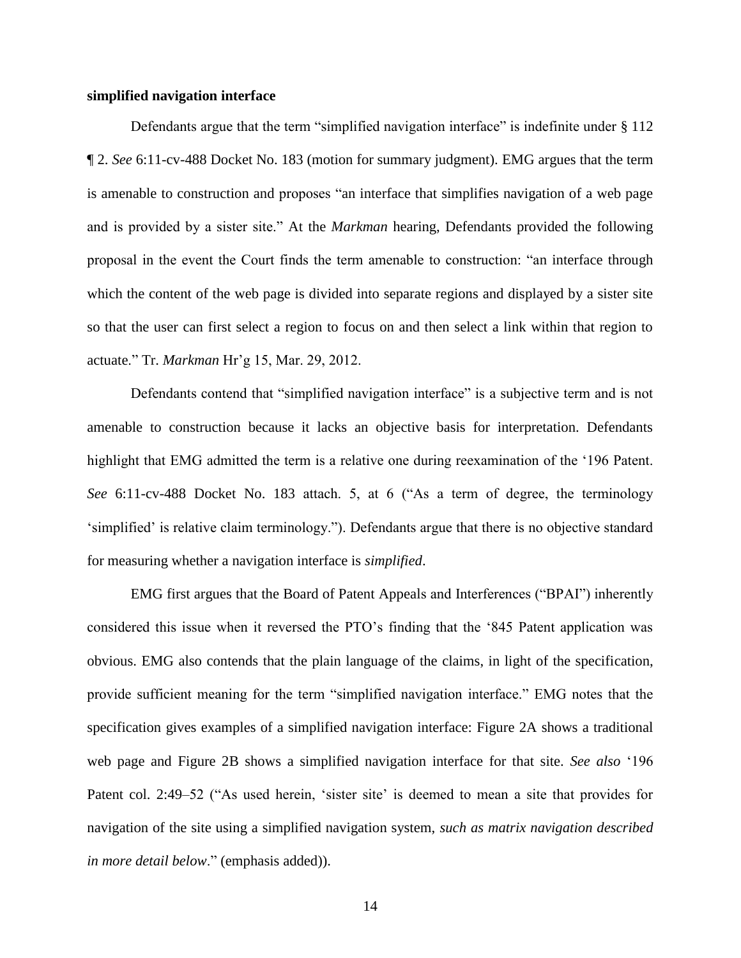## **simplified navigation interface**

Defendants argue that the term "simplified navigation interface" is indefinite under § 112 ¶ 2. *See* 6:11-cv-488 Docket No. 183 (motion for summary judgment). EMG argues that the term is amenable to construction and proposes "an interface that simplifies navigation of a web page and is provided by a sister site." At the *Markman* hearing, Defendants provided the following proposal in the event the Court finds the term amenable to construction: "an interface through which the content of the web page is divided into separate regions and displayed by a sister site so that the user can first select a region to focus on and then select a link within that region to actuate." Tr. *Markman* Hr'g 15, Mar. 29, 2012.

Defendants contend that "simplified navigation interface" is a subjective term and is not amenable to construction because it lacks an objective basis for interpretation. Defendants highlight that EMG admitted the term is a relative one during reexamination of the '196 Patent. *See* 6:11-cv-488 Docket No. 183 attach. 5, at 6 ("As a term of degree, the terminology 'simplified' is relative claim terminology."). Defendants argue that there is no objective standard for measuring whether a navigation interface is *simplified*.

EMG first argues that the Board of Patent Appeals and Interferences ("BPAI") inherently considered this issue when it reversed the PTO's finding that the '845 Patent application was obvious. EMG also contends that the plain language of the claims, in light of the specification, provide sufficient meaning for the term "simplified navigation interface." EMG notes that the specification gives examples of a simplified navigation interface: Figure 2A shows a traditional web page and Figure 2B shows a simplified navigation interface for that site. *See also* '196 Patent col. 2:49–52 ("As used herein, 'sister site' is deemed to mean a site that provides for navigation of the site using a simplified navigation system, *such as matrix navigation described in more detail below*." (emphasis added)).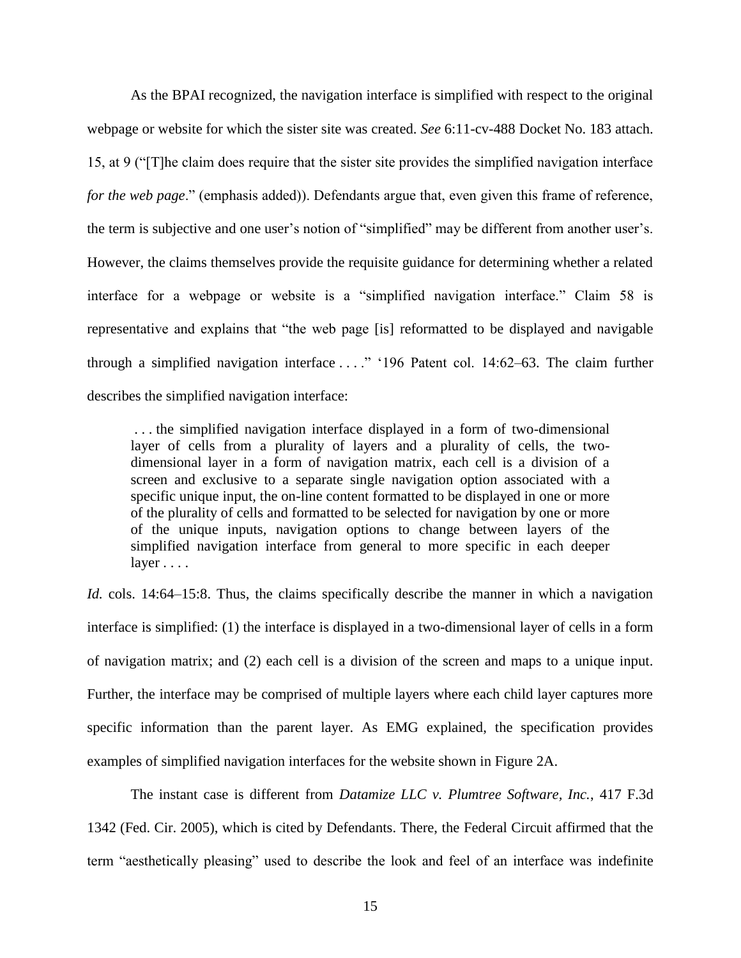As the BPAI recognized, the navigation interface is simplified with respect to the original webpage or website for which the sister site was created. *See* 6:11-cv-488 Docket No. 183 attach. 15, at 9 ("[T]he claim does require that the sister site provides the simplified navigation interface *for the web page*." (emphasis added)). Defendants argue that, even given this frame of reference, the term is subjective and one user's notion of "simplified" may be different from another user's. However, the claims themselves provide the requisite guidance for determining whether a related interface for a webpage or website is a "simplified navigation interface." Claim 58 is representative and explains that "the web page [is] reformatted to be displayed and navigable through a simplified navigation interface . . . ." '196 Patent col. 14:62–63. The claim further describes the simplified navigation interface:

. . . the simplified navigation interface displayed in a form of two-dimensional layer of cells from a plurality of layers and a plurality of cells, the twodimensional layer in a form of navigation matrix, each cell is a division of a screen and exclusive to a separate single navigation option associated with a specific unique input, the on-line content formatted to be displayed in one or more of the plurality of cells and formatted to be selected for navigation by one or more of the unique inputs, navigation options to change between layers of the simplified navigation interface from general to more specific in each deeper layer . . . .

*Id.* cols. 14:64–15:8. Thus, the claims specifically describe the manner in which a navigation interface is simplified: (1) the interface is displayed in a two-dimensional layer of cells in a form of navigation matrix; and (2) each cell is a division of the screen and maps to a unique input. Further, the interface may be comprised of multiple layers where each child layer captures more specific information than the parent layer. As EMG explained, the specification provides examples of simplified navigation interfaces for the website shown in Figure 2A.

The instant case is different from *Datamize LLC v. Plumtree Software, Inc.*, 417 F.3d 1342 (Fed. Cir. 2005), which is cited by Defendants. There, the Federal Circuit affirmed that the term "aesthetically pleasing" used to describe the look and feel of an interface was indefinite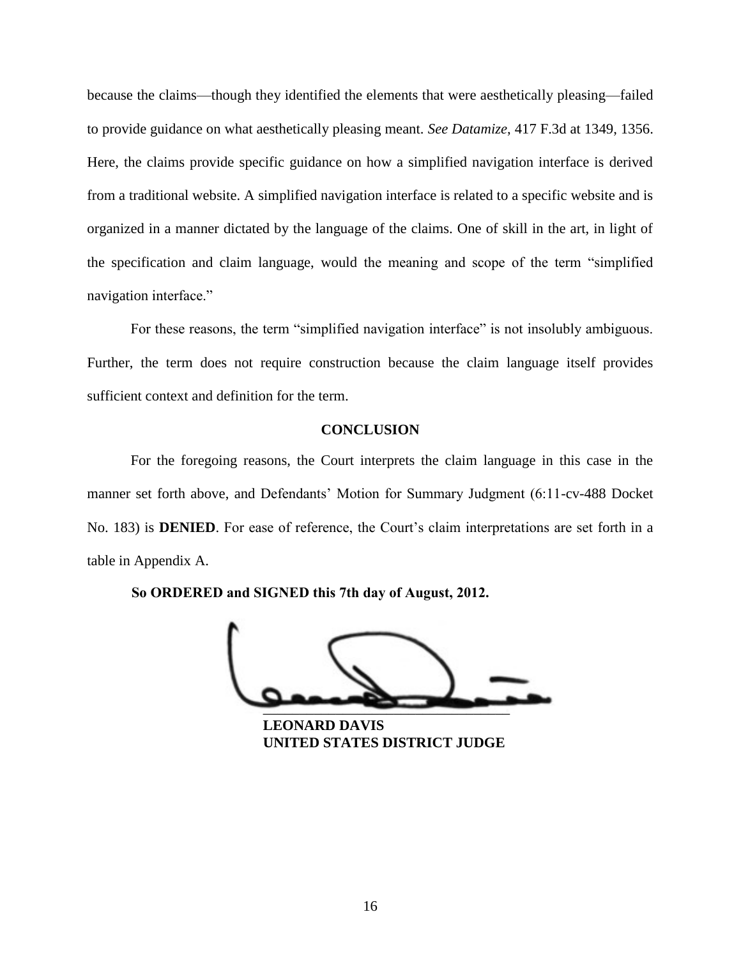because the claims—though they identified the elements that were aesthetically pleasing—failed to provide guidance on what aesthetically pleasing meant. *See Datamize*, 417 F.3d at 1349, 1356. Here, the claims provide specific guidance on how a simplified navigation interface is derived from a traditional website. A simplified navigation interface is related to a specific website and is organized in a manner dictated by the language of the claims. One of skill in the art, in light of the specification and claim language, would the meaning and scope of the term "simplified navigation interface."

For these reasons, the term "simplified navigation interface" is not insolubly ambiguous. Further, the term does not require construction because the claim language itself provides sufficient context and definition for the term.

## **CONCLUSION**

For the foregoing reasons, the Court interprets the claim language in this case in the manner set forth above, and Defendants' Motion for Summary Judgment (6:11-cv-488 Docket No. 183) is **DENIED**. For ease of reference, the Court's claim interpretations are set forth in a table in Appendix A.

 $\overbrace{\phantom{aaaaaaa}}$ So ORDERED and SIGNED this 7th day of August, 2012.<br>
UNITED STATES DISTRICT JUDGE

**LEONARD DAVIS**